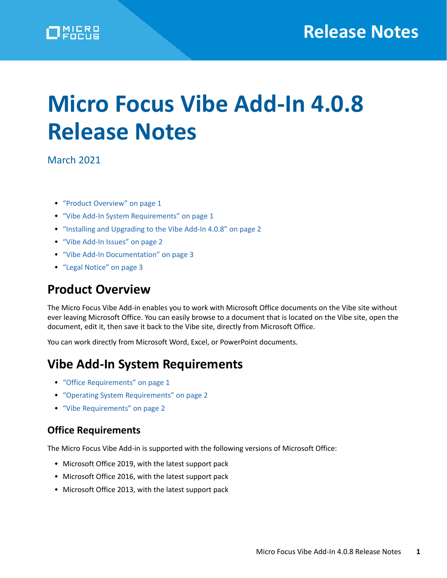# **Micro Focus Vibe Add-In 4.0.8 Release Notes**

March 2021

- ["Product Overview" on page 1](#page-0-0)
- ["Vibe Add-In System Requirements" on page 1](#page-0-1)
- ["Installing and Upgrading to the Vibe Add-In 4.0.8" on page 2](#page-1-0)
- ["Vibe Add-In Issues" on page 2](#page-1-1)
- ["Vibe Add-In Documentation" on page 3](#page-2-0)
- ["Legal Notice" on page 3](#page-2-1)

## <span id="page-0-0"></span>**Product Overview**

The Micro Focus Vibe Add-in enables you to work with Microsoft Office documents on the Vibe site without ever leaving Microsoft Office. You can easily browse to a document that is located on the Vibe site, open the document, edit it, then save it back to the Vibe site, directly from Microsoft Office.

You can work directly from Microsoft Word, Excel, or PowerPoint documents.

## <span id="page-0-1"></span>**Vibe Add-In System Requirements**

- ["Office Requirements" on page 1](#page-0-2)
- ["Operating System Requirements" on page 2](#page-1-2)
- ["Vibe Requirements" on page 2](#page-1-3)

#### <span id="page-0-2"></span>**Office Requirements**

The Micro Focus Vibe Add-in is supported with the following versions of Microsoft Office:

- Microsoft Office 2019, with the latest support pack
- Microsoft Office 2016, with the latest support pack
- Microsoft Office 2013, with the latest support pack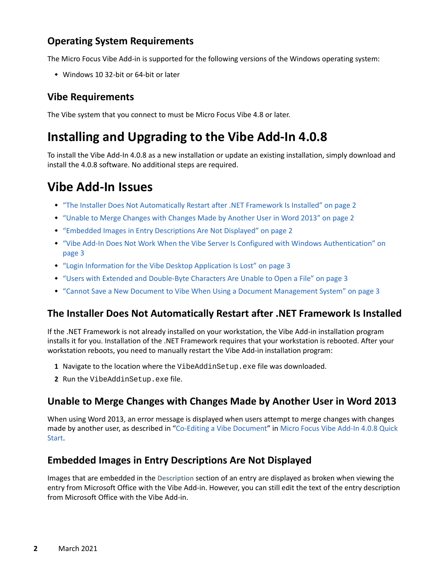#### <span id="page-1-2"></span>**Operating System Requirements**

The Micro Focus Vibe Add-in is supported for the following versions of the Windows operating system:

Windows 10 32-bit or 64-bit or later

#### <span id="page-1-3"></span>**Vibe Requirements**

The Vibe system that you connect to must be Micro Focus Vibe 4.8 or later.

## <span id="page-1-0"></span>**Installing and Upgrading to the Vibe Add-In 4.0.8**

To install the Vibe Add-In 4.0.8 as a new installation or update an existing installation, simply download and install the 4.0.8 software. No additional steps are required.

## <span id="page-1-1"></span>**Vibe Add-In Issues**

- ["The Installer Does Not Automatically Restart after .NET Framework Is Installed" on page 2](#page-1-4)
- ["Unable to Merge Changes with Changes Made by Another User in Word 2013" on page 2](#page-1-5)
- ["Embedded Images in Entry Descriptions Are Not Displayed" on page 2](#page-1-6)
- ["Vibe Add-In Does Not Work When the Vibe Server Is Configured with Windows Authentication" on](#page-2-2)  [page 3](#page-2-2)
- ["Login Information for the Vibe Desktop Application Is Lost" on page 3](#page-2-3)
- ["Users with Extended and Double-Byte Characters Are Unable to Open a File" on page 3](#page-2-4)
- ["Cannot Save a New Document to Vibe When Using a Document Management System" on page 3](#page-2-5)

### <span id="page-1-4"></span>**The Installer Does Not Automatically Restart after .NET Framework Is Installed**

If the .NET Framework is not already installed on your workstation, the Vibe Add-in installation program installs it for you. Installation of the .NET Framework requires that your workstation is rebooted. After your workstation reboots, you need to manually restart the Vibe Add-in installation program:

- **1** Navigate to the location where the VibeAddinSetup.exe file was downloaded.
- **2** Run the VibeAddinSetup.exe file.

### <span id="page-1-5"></span>**Unable to Merge Changes with Changes Made by Another User in Word 2013**

When using Word 2013, an error message is displayed when users attempt to merge changes with changes made by another user, as described in ["Co-Editing a Vibe Document"](https://www.novell.com/documentation/vibe4/pdfdoc/vibe4_qs_office/vibe4_qs_office.pdf#bt1pa5r) in Micro Focus Vibe Add-In 4.0.8 Quick Start.

#### <span id="page-1-6"></span>**Embedded Images in Entry Descriptions Are Not Displayed**

Images that are embedded in the **Description** section of an entry are displayed as broken when viewing the entry from Microsoft Office with the Vibe Add-in. However, you can still edit the text of the entry description from Microsoft Office with the Vibe Add-in.